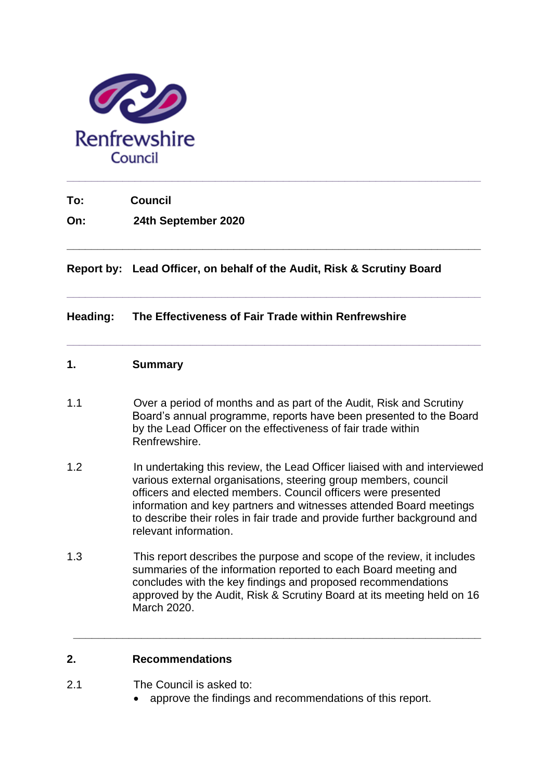

**To: Council**

**On: 24th September 2020**

**Report by: Lead Officer, on behalf of the Audit, Risk & Scrutiny Board**

**\_\_\_\_\_\_\_\_\_\_\_\_\_\_\_\_\_\_\_\_\_\_\_\_\_\_\_\_\_\_\_\_\_\_\_\_\_\_\_\_\_\_\_\_\_\_\_\_\_\_\_\_\_\_\_\_\_\_\_\_\_\_\_\_\_\_\_**

**\_\_\_\_\_\_\_\_\_\_\_\_\_\_\_\_\_\_\_\_\_\_\_\_\_\_\_\_\_\_\_\_\_\_\_\_\_\_\_\_\_\_\_\_\_\_\_\_\_\_\_\_\_\_\_\_\_\_\_\_\_\_\_\_\_\_\_**

**\_\_\_\_\_\_\_\_\_\_\_\_\_\_\_\_\_\_\_\_\_\_\_\_\_\_\_\_\_\_\_\_\_\_\_\_\_\_\_\_\_\_\_\_\_\_\_\_\_\_\_\_\_\_\_\_\_\_\_\_\_\_\_\_\_\_\_**

### **Heading: The Effectiveness of Fair Trade within Renfrewshire**

# **1. Summary**

- 1.1 Over a period of months and as part of the Audit, Risk and Scrutiny Board's annual programme, reports have been presented to the Board by the Lead Officer on the effectiveness of fair trade within Renfrewshire.
- 1.2 In undertaking this review, the Lead Officer liaised with and interviewed various external organisations, steering group members, council officers and elected members. Council officers were presented information and key partners and witnesses attended Board meetings to describe their roles in fair trade and provide further background and relevant information.
- 1.3 This report describes the purpose and scope of the review, it includes summaries of the information reported to each Board meeting and concludes with the key findings and proposed recommendations approved by the Audit, Risk & Scrutiny Board at its meeting held on 16 March 2020.

**\_\_\_\_\_\_\_\_\_\_\_\_\_\_\_\_\_\_\_\_\_\_\_\_\_\_\_\_\_\_\_\_\_\_\_\_\_\_\_\_\_\_\_\_\_\_\_\_\_\_\_\_\_\_\_\_\_\_\_\_\_\_\_\_\_\_**

### **2. Recommendations**

- 2.1 The Council is asked to:
	- approve the findings and recommendations of this report.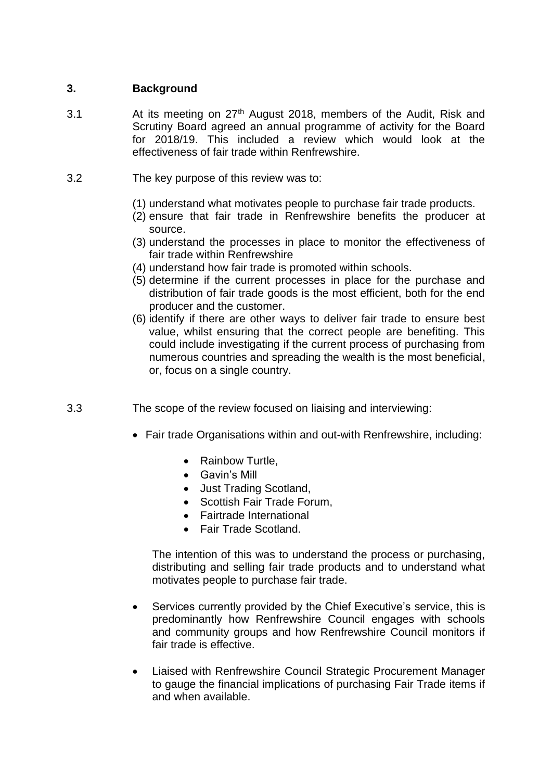# **3. Background**

- 3.1 At its meeting on 27<sup>th</sup> August 2018, members of the Audit, Risk and Scrutiny Board agreed an annual programme of activity for the Board for 2018/19. This included a review which would look at the effectiveness of fair trade within Renfrewshire.
- 3.2 The key purpose of this review was to:
	- (1) understand what motivates people to purchase fair trade products.
	- (2) ensure that fair trade in Renfrewshire benefits the producer at source.
	- (3) understand the processes in place to monitor the effectiveness of fair trade within Renfrewshire
	- (4) understand how fair trade is promoted within schools.
	- (5) determine if the current processes in place for the purchase and distribution of fair trade goods is the most efficient, both for the end producer and the customer.
	- (6) identify if there are other ways to deliver fair trade to ensure best value, whilst ensuring that the correct people are benefiting. This could include investigating if the current process of purchasing from numerous countries and spreading the wealth is the most beneficial, or, focus on a single country.
- 3.3 The scope of the review focused on liaising and interviewing:
	- Fair trade Organisations within and out-with Renfrewshire, including:
		- Rainbow Turtle,
		- Gavin's Mill
		- Just Trading Scotland,
		- Scottish Fair Trade Forum,
		- Fairtrade International
		- Fair Trade Scotland.

The intention of this was to understand the process or purchasing, distributing and selling fair trade products and to understand what motivates people to purchase fair trade.

- Services currently provided by the Chief Executive's service, this is predominantly how Renfrewshire Council engages with schools and community groups and how Renfrewshire Council monitors if fair trade is effective.
- Liaised with Renfrewshire Council Strategic Procurement Manager to gauge the financial implications of purchasing Fair Trade items if and when available.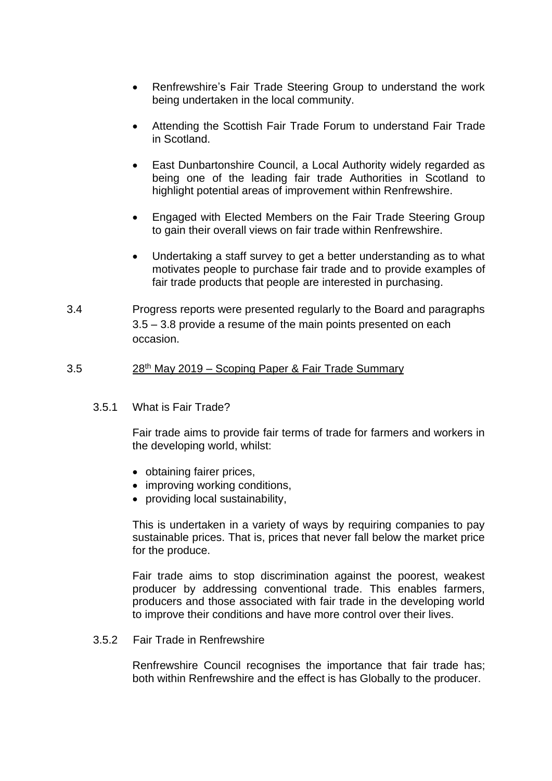- Renfrewshire's Fair Trade Steering Group to understand the work being undertaken in the local community.
- Attending the Scottish Fair Trade Forum to understand Fair Trade in Scotland.
- East Dunbartonshire Council, a Local Authority widely regarded as being one of the leading fair trade Authorities in Scotland to highlight potential areas of improvement within Renfrewshire.
- Engaged with Elected Members on the Fair Trade Steering Group to gain their overall views on fair trade within Renfrewshire.
- Undertaking a staff survey to get a better understanding as to what motivates people to purchase fair trade and to provide examples of fair trade products that people are interested in purchasing.
- 3.4 Progress reports were presented regularly to the Board and paragraphs 3.5 – 3.8 provide a resume of the main points presented on each occasion.

### 3.5 28th May 2019 – Scoping Paper & Fair Trade Summary

3.5.1 What is Fair Trade?

Fair trade aims to provide fair terms of trade for farmers and workers in the developing world, whilst:

- obtaining fairer prices,
- improving working conditions,
- providing local sustainability,

This is undertaken in a variety of ways by requiring companies to pay sustainable prices. That is, prices that never fall below the market price for the produce.

Fair trade aims to stop discrimination against the poorest, weakest producer by addressing conventional trade. This enables farmers, producers and those associated with fair trade in the developing world to improve their conditions and have more control over their lives.

3.5.2 Fair Trade in Renfrewshire

Renfrewshire Council recognises the importance that fair trade has: both within Renfrewshire and the effect is has Globally to the producer.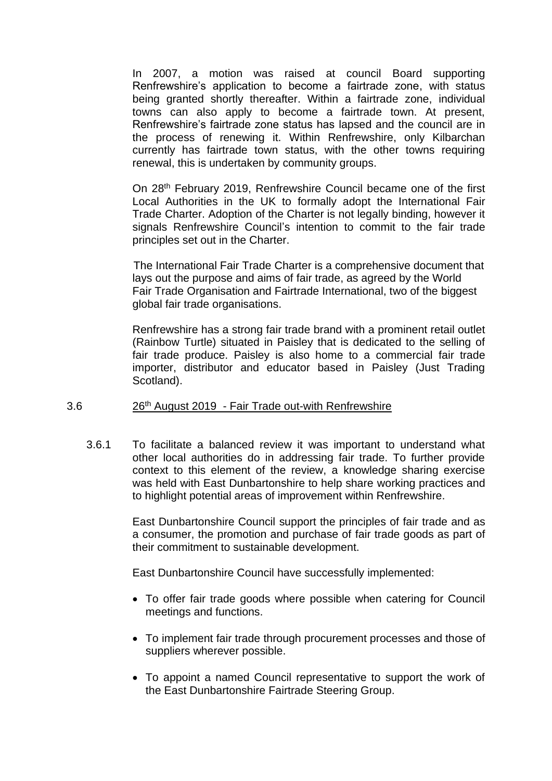In 2007, a motion was raised at council Board supporting Renfrewshire's application to become a fairtrade zone, with status being granted shortly thereafter. Within a fairtrade zone, individual towns can also apply to become a fairtrade town. At present, Renfrewshire's fairtrade zone status has lapsed and the council are in the process of renewing it. Within Renfrewshire, only Kilbarchan currently has fairtrade town status, with the other towns requiring renewal, this is undertaken by community groups.

On 28th February 2019, Renfrewshire Council became one of the first Local Authorities in the UK to formally adopt the International Fair Trade Charter. Adoption of the Charter is not legally binding, however it signals Renfrewshire Council's intention to commit to the fair trade principles set out in the Charter.

The International Fair Trade Charter is a comprehensive document that lays out the purpose and aims of fair trade, as agreed by the World Fair Trade Organisation and Fairtrade International, two of the biggest global fair trade organisations.

Renfrewshire has a strong fair trade brand with a prominent retail outlet (Rainbow Turtle) situated in Paisley that is dedicated to the selling of fair trade produce. Paisley is also home to a commercial fair trade importer, distributor and educator based in Paisley (Just Trading Scotland).

#### 3.6 26th August 2019 - Fair Trade out-with Renfrewshire

3.6.1 To facilitate a balanced review it was important to understand what other local authorities do in addressing fair trade. To further provide context to this element of the review, a knowledge sharing exercise was held with East Dunbartonshire to help share working practices and to highlight potential areas of improvement within Renfrewshire.

> East Dunbartonshire Council support the principles of fair trade and as a consumer, the promotion and purchase of fair trade goods as part of their commitment to sustainable development.

East Dunbartonshire Council have successfully implemented:

- To offer fair trade goods where possible when catering for Council meetings and functions.
- To implement fair trade through procurement processes and those of suppliers wherever possible.
- To appoint a named Council representative to support the work of the East Dunbartonshire Fairtrade Steering Group.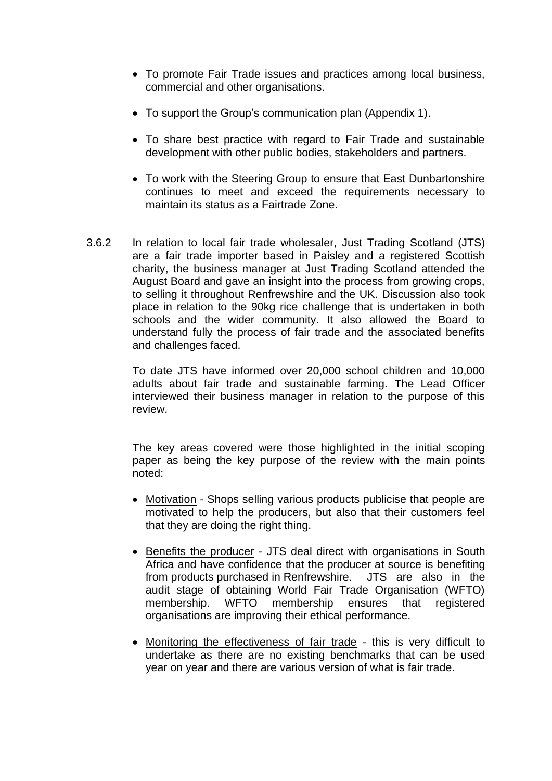- To promote Fair Trade issues and practices among local business, commercial and other organisations.
- To support the Group's communication plan (Appendix 1).
- To share best practice with regard to Fair Trade and sustainable development with other public bodies, stakeholders and partners.
- To work with the Steering Group to ensure that East Dunbartonshire continues to meet and exceed the requirements necessary to maintain its status as a Fairtrade Zone.
- 3.6.2 In relation to local fair trade wholesaler, Just Trading Scotland (JTS) are a fair trade importer based in Paisley and a registered Scottish charity, the business manager at Just Trading Scotland attended the August Board and gave an insight into the process from growing crops, to selling it throughout Renfrewshire and the UK. Discussion also took place in relation to the 90kg rice challenge that is undertaken in both schools and the wider community. It also allowed the Board to understand fully the process of fair trade and the associated benefits and challenges faced.

To date JTS have informed over 20,000 school children and 10,000 adults about fair trade and sustainable farming. The Lead Officer interviewed their business manager in relation to the purpose of this review.

The key areas covered were those highlighted in the initial scoping paper as being the key purpose of the review with the main points noted:

- Motivation Shops selling various products publicise that people are motivated to help the producers, but also that their customers feel that they are doing the right thing.
- Benefits the producer JTS deal direct with organisations in South Africa and have confidence that the producer at source is benefiting from products purchased in Renfrewshire. JTS are also in the audit stage of obtaining World Fair Trade Organisation (WFTO) membership. WFTO membership ensures that registered organisations are improving their ethical performance.
- Monitoring the effectiveness of fair trade this is very difficult to undertake as there are no existing benchmarks that can be used year on year and there are various version of what is fair trade.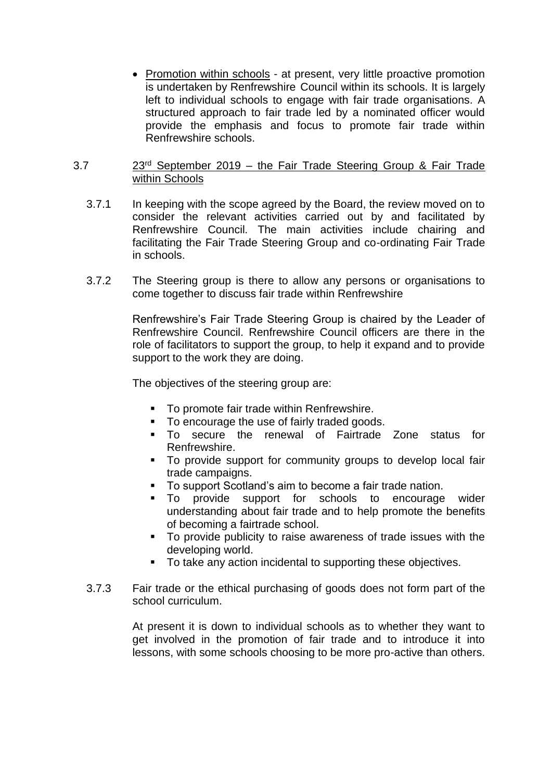• Promotion within schools - at present, very little proactive promotion is undertaken by Renfrewshire Council within its schools. It is largely left to individual schools to engage with fair trade organisations. A structured approach to fair trade led by a nominated officer would provide the emphasis and focus to promote fair trade within Renfrewshire schools.

#### 3.7 23rd September 2019 – the Fair Trade Steering Group & Fair Trade within Schools

- 3.7.1 In keeping with the scope agreed by the Board, the review moved on to consider the relevant activities carried out by and facilitated by Renfrewshire Council. The main activities include chairing and facilitating the Fair Trade Steering Group and co-ordinating Fair Trade in schools.
- 3.7.2 The Steering group is there to allow any persons or organisations to come together to discuss fair trade within Renfrewshire

Renfrewshire's Fair Trade Steering Group is chaired by the Leader of Renfrewshire Council. Renfrewshire Council officers are there in the role of facilitators to support the group, to help it expand and to provide support to the work they are doing.

The objectives of the steering group are:

- To promote fair trade within Renfrewshire.<br>■ To encourage the use of fairly traded good
- To encourage the use of fairly traded goods.
- To secure the renewal of Fairtrade Zone status for Renfrewshire.
- To provide support for community groups to develop local fair trade campaigns.
- To support Scotland's aim to become a fair trade nation.
- To provide support for schools to encourage wider understanding about fair trade and to help promote the benefits of becoming a fairtrade school.
- To provide publicity to raise awareness of trade issues with the developing world.
- To take any action incidental to supporting these objectives.
- 3.7.3 Fair trade or the ethical purchasing of goods does not form part of the school curriculum.

At present it is down to individual schools as to whether they want to get involved in the promotion of fair trade and to introduce it into lessons, with some schools choosing to be more pro-active than others.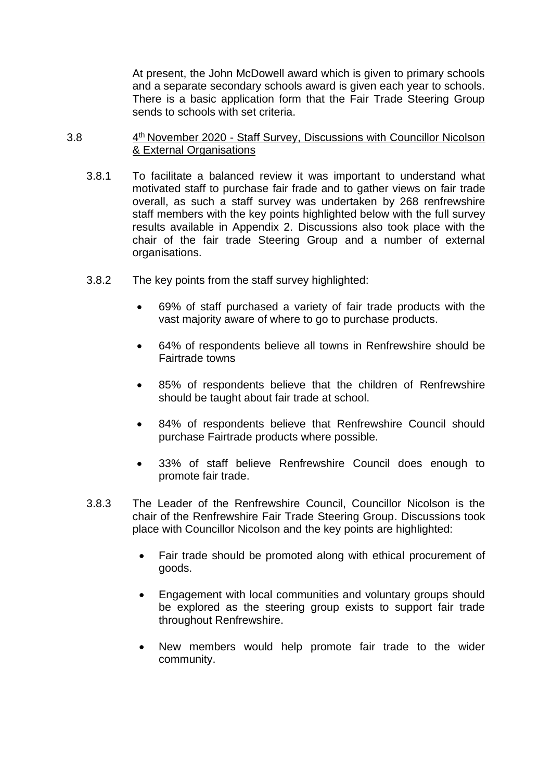At present, the John McDowell award which is given to primary schools and a separate secondary schools award is given each year to schools. There is a basic application form that the Fair Trade Steering Group sends to schools with set criteria.

#### $3.8$ 4<sup>th</sup> November 2020 - Staff Survey, Discussions with Councillor Nicolson & External Organisations

- 3.8.1 To facilitate a balanced review it was important to understand what motivated staff to purchase fair frade and to gather views on fair trade overall, as such a staff survey was undertaken by 268 renfrewshire staff members with the key points highlighted below with the full survey results available in Appendix 2. Discussions also took place with the chair of the fair trade Steering Group and a number of external organisations.
- 3.8.2 The key points from the staff survey highlighted:
	- 69% of staff purchased a variety of fair trade products with the vast majority aware of where to go to purchase products.
	- 64% of respondents believe all towns in Renfrewshire should be Fairtrade towns
	- 85% of respondents believe that the children of Renfrewshire should be taught about fair trade at school.
	- 84% of respondents believe that Renfrewshire Council should purchase Fairtrade products where possible.
	- 33% of staff believe Renfrewshire Council does enough to promote fair trade.
- 3.8.3 The Leader of the Renfrewshire Council, Councillor Nicolson is the chair of the Renfrewshire Fair Trade Steering Group. Discussions took place with Councillor Nicolson and the key points are highlighted:
	- Fair trade should be promoted along with ethical procurement of goods.
	- Engagement with local communities and voluntary groups should be explored as the steering group exists to support fair trade throughout Renfrewshire.
	- New members would help promote fair trade to the wider community.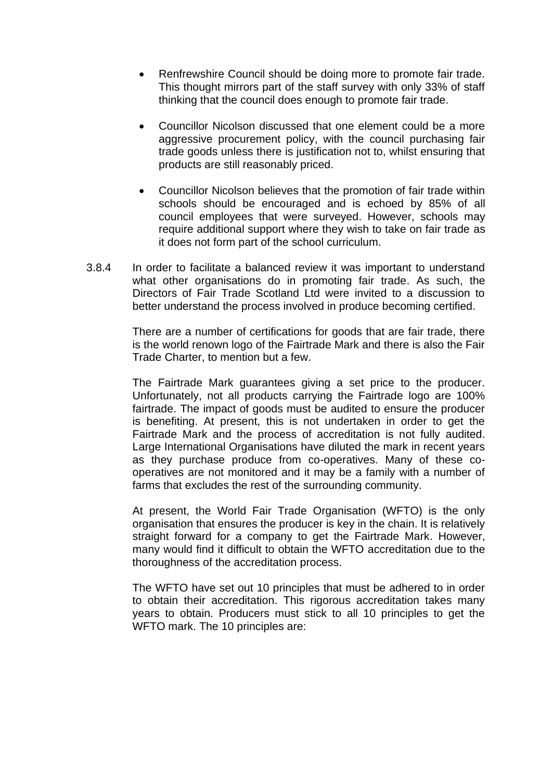- Renfrewshire Council should be doing more to promote fair trade. This thought mirrors part of the staff survey with only 33% of staff thinking that the council does enough to promote fair trade.
- Councillor Nicolson discussed that one element could be a more aggressive procurement policy, with the council purchasing fair trade goods unless there is justification not to, whilst ensuring that products are still reasonably priced.
- Councillor Nicolson believes that the promotion of fair trade within schools should be encouraged and is echoed by 85% of all council employees that were surveyed. However, schools may require additional support where they wish to take on fair trade as it does not form part of the school curriculum.
- 3.8.4 In order to facilitate a balanced review it was important to understand what other organisations do in promoting fair trade. As such, the Directors of Fair Trade Scotland Ltd were invited to a discussion to better understand the process involved in produce becoming certified.

There are a number of certifications for goods that are fair trade, there is the world renown logo of the Fairtrade Mark and there is also the Fair Trade Charter, to mention but a few.

The Fairtrade Mark guarantees giving a set price to the producer. Unfortunately, not all products carrying the Fairtrade logo are 100% fairtrade. The impact of goods must be audited to ensure the producer is benefiting. At present, this is not undertaken in order to get the Fairtrade Mark and the process of accreditation is not fully audited. Large International Organisations have diluted the mark in recent years as they purchase produce from co-operatives. Many of these cooperatives are not monitored and it may be a family with a number of farms that excludes the rest of the surrounding community.

At present, the World Fair Trade Organisation (WFTO) is the only organisation that ensures the producer is key in the chain. It is relatively straight forward for a company to get the Fairtrade Mark. However, many would find it difficult to obtain the WFTO accreditation due to the thoroughness of the accreditation process.

The WFTO have set out 10 principles that must be adhered to in order to obtain their accreditation. This rigorous accreditation takes many years to obtain. Producers must stick to all 10 principles to get the WFTO mark. The 10 principles are: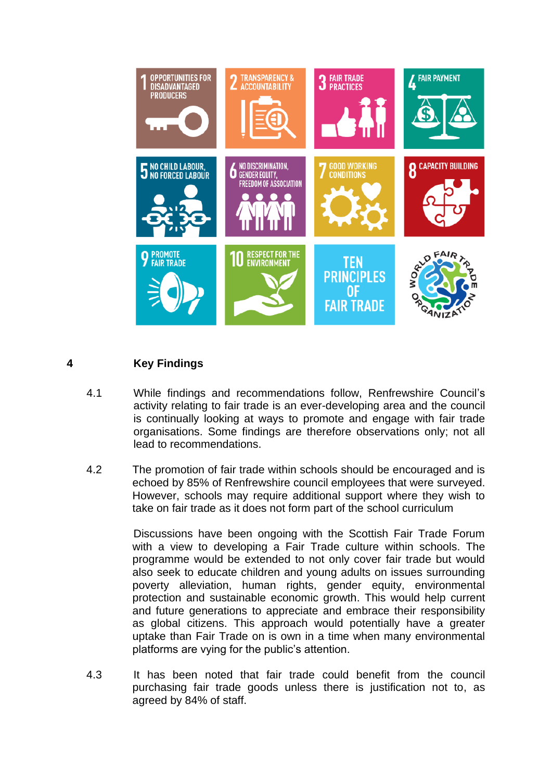

# **4 Key Findings**

- 4.1 While findings and recommendations follow, Renfrewshire Council's activity relating to fair trade is an ever-developing area and the council is continually looking at ways to promote and engage with fair trade organisations. Some findings are therefore observations only; not all lead to recommendations.
- 4.2 The promotion of fair trade within schools should be encouraged and is echoed by 85% of Renfrewshire council employees that were surveyed. However, schools may require additional support where they wish to take on fair trade as it does not form part of the school curriculum

Discussions have been ongoing with the Scottish Fair Trade Forum with a view to developing a Fair Trade culture within schools. The programme would be extended to not only cover fair trade but would also seek to educate children and young adults on issues surrounding poverty alleviation, human rights, gender equity, environmental protection and sustainable economic growth. This would help current and future generations to appreciate and embrace their responsibility as global citizens. This approach would potentially have a greater uptake than Fair Trade on is own in a time when many environmental platforms are vying for the public's attention.

4.3 It has been noted that fair trade could benefit from the council purchasing fair trade goods unless there is justification not to, as agreed by 84% of staff.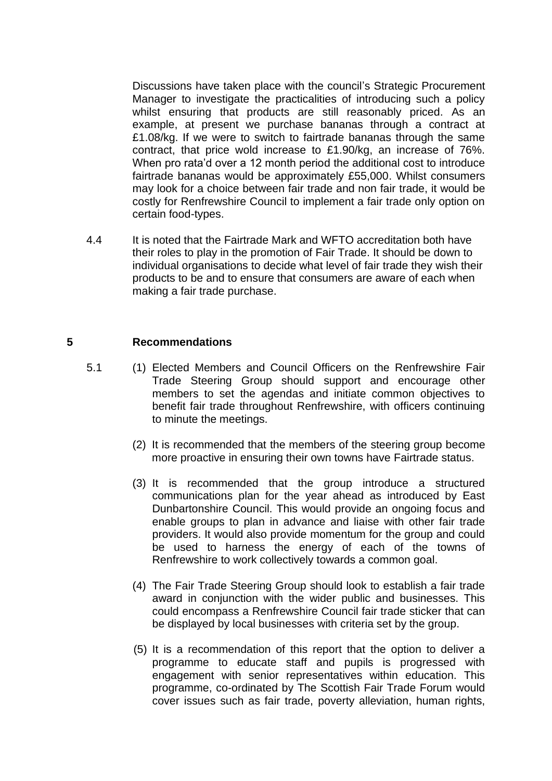Discussions have taken place with the council's Strategic Procurement Manager to investigate the practicalities of introducing such a policy whilst ensuring that products are still reasonably priced. As an example, at present we purchase bananas through a contract at £1.08/kg. If we were to switch to fairtrade bananas through the same contract, that price wold increase to £1.90/kg, an increase of 76%. When pro rata'd over a 12 month period the additional cost to introduce fairtrade bananas would be approximately £55,000. Whilst consumers may look for a choice between fair trade and non fair trade, it would be costly for Renfrewshire Council to implement a fair trade only option on certain food-types.

4.4 It is noted that the Fairtrade Mark and WFTO accreditation both have their roles to play in the promotion of Fair Trade. It should be down to individual organisations to decide what level of fair trade they wish their products to be and to ensure that consumers are aware of each when making a fair trade purchase.

#### **5 Recommendations**

- 5.1 (1) Elected Members and Council Officers on the Renfrewshire Fair Trade Steering Group should support and encourage other members to set the agendas and initiate common objectives to benefit fair trade throughout Renfrewshire, with officers continuing to minute the meetings.
	- (2) It is recommended that the members of the steering group become more proactive in ensuring their own towns have Fairtrade status.
	- (3) It is recommended that the group introduce a structured communications plan for the year ahead as introduced by East Dunbartonshire Council. This would provide an ongoing focus and enable groups to plan in advance and liaise with other fair trade providers. It would also provide momentum for the group and could be used to harness the energy of each of the towns of Renfrewshire to work collectively towards a common goal.
	- (4) The Fair Trade Steering Group should look to establish a fair trade award in conjunction with the wider public and businesses. This could encompass a Renfrewshire Council fair trade sticker that can be displayed by local businesses with criteria set by the group.
	- (5) It is a recommendation of this report that the option to deliver a programme to educate staff and pupils is progressed with engagement with senior representatives within education. This programme, co-ordinated by The Scottish Fair Trade Forum would cover issues such as fair trade, poverty alleviation, human rights,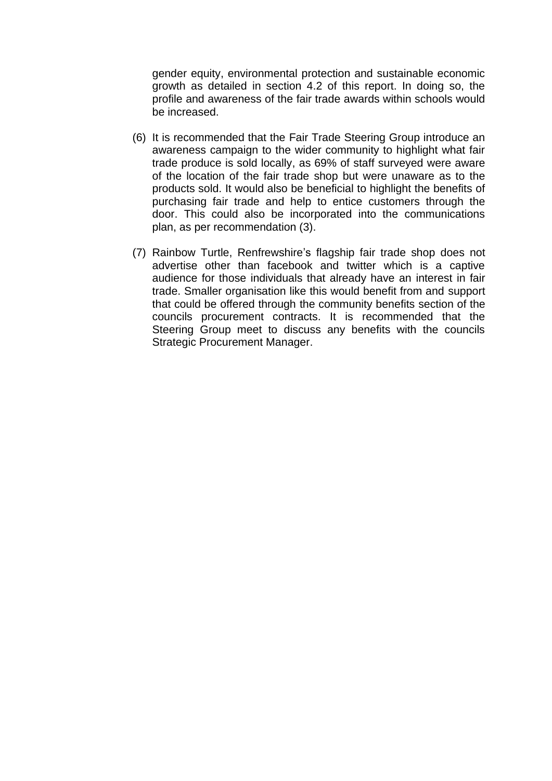gender equity, environmental protection and sustainable economic growth as detailed in section 4.2 of this report. In doing so, the profile and awareness of the fair trade awards within schools would be increased.

- (6) It is recommended that the Fair Trade Steering Group introduce an awareness campaign to the wider community to highlight what fair trade produce is sold locally, as 69% of staff surveyed were aware of the location of the fair trade shop but were unaware as to the products sold. It would also be beneficial to highlight the benefits of purchasing fair trade and help to entice customers through the door. This could also be incorporated into the communications plan, as per recommendation (3).
- (7) Rainbow Turtle, Renfrewshire's flagship fair trade shop does not advertise other than facebook and twitter which is a captive audience for those individuals that already have an interest in fair trade. Smaller organisation like this would benefit from and support that could be offered through the community benefits section of the councils procurement contracts. It is recommended that the Steering Group meet to discuss any benefits with the councils Strategic Procurement Manager.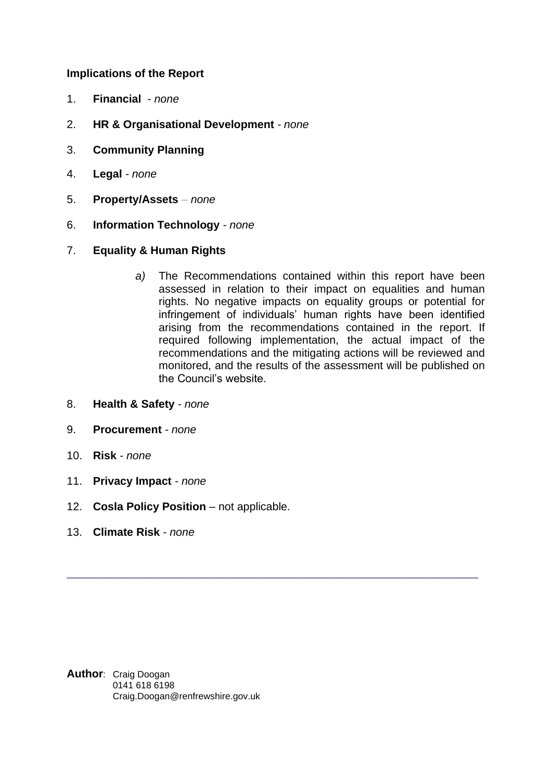### **Implications of the Report**

- 1. **Financial** *none*
- 2. **HR & Organisational Development** *- none*
- 3. **Community Planning**
- 4. **Legal** *- none*
- 5. **Property/Assets** *– none*
- 6. **Information Technology** *- none*
- 7. **Equality & Human Rights**
	- *a)* The Recommendations contained within this report have been assessed in relation to their impact on equalities and human rights. No negative impacts on equality groups or potential for infringement of individuals' human rights have been identified arising from the recommendations contained in the report. If required following implementation, the actual impact of the recommendations and the mitigating actions will be reviewed and monitored, and the results of the assessment will be published on the Council's website.

\_\_\_\_\_\_\_\_\_\_\_\_\_\_\_\_\_\_\_\_\_\_\_\_\_\_\_\_\_\_\_\_\_\_\_\_\_\_\_\_\_\_\_\_\_\_\_\_\_\_\_\_\_\_\_\_\_

- 8. **Health & Safety** *- none*
- 9. **Procurement** *- none*
- 10. **Risk** *- none*
- 11. **Privacy Impact** *- none*
- 12. **Cosla Policy Position** not applicable.
- 13. **Climate Risk** *none*

**Author**: Craig Doogan 0141 618 6198 Craig.Doogan@renfrewshire.gov.uk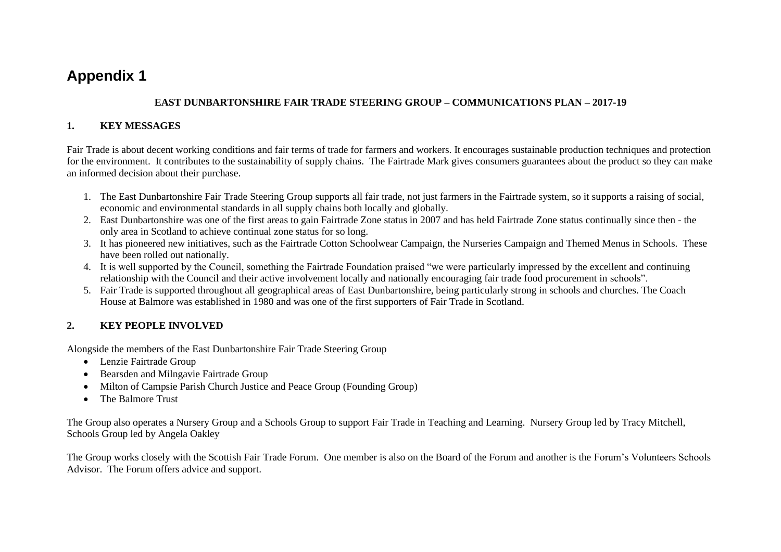# **Appendix 1**

#### **EAST DUNBARTONSHIRE FAIR TRADE STEERING GROUP – COMMUNICATIONS PLAN – 2017-19**

#### **1. KEY MESSAGES**

Fair Trade is about decent working conditions and fair terms of trade for farmers and workers. It encourages sustainable production techniques and protection for the environment. It contributes to the sustainability of supply chains. The Fairtrade Mark gives consumers guarantees about the product so they can make an informed decision about their purchase.

- 1. The East Dunbartonshire Fair Trade Steering Group supports all fair trade, not just farmers in the Fairtrade system, so it supports a raising of social, economic and environmental standards in all supply chains both locally and globally.
- 2. East Dunbartonshire was one of the first areas to gain Fairtrade Zone status in 2007 and has held Fairtrade Zone status continually since then the only area in Scotland to achieve continual zone status for so long.
- 3. It has pioneered new initiatives, such as the Fairtrade Cotton Schoolwear Campaign, the Nurseries Campaign and Themed Menus in Schools. These have been rolled out nationally.
- 4. It is well supported by the Council, something the Fairtrade Foundation praised "we were particularly impressed by the excellent and continuing relationship with the Council and their active involvement locally and nationally encouraging fair trade food procurement in schools".
- 5. Fair Trade is supported throughout all geographical areas of East Dunbartonshire, being particularly strong in schools and churches. The Coach House at Balmore was established in 1980 and was one of the first supporters of Fair Trade in Scotland.

# **2. KEY PEOPLE INVOLVED**

Alongside the members of the East Dunbartonshire Fair Trade Steering Group

- Lenzie Fairtrade Group
- Bearsden and Milngavie Fairtrade Group
- Milton of Campsie Parish Church Justice and Peace Group (Founding Group)
- The Balmore Trust

The Group also operates a Nursery Group and a Schools Group to support Fair Trade in Teaching and Learning. Nursery Group led by Tracy Mitchell, Schools Group led by Angela Oakley

The Group works closely with the Scottish Fair Trade Forum. One member is also on the Board of the Forum and another is the Forum's Volunteers Schools Advisor. The Forum offers advice and support.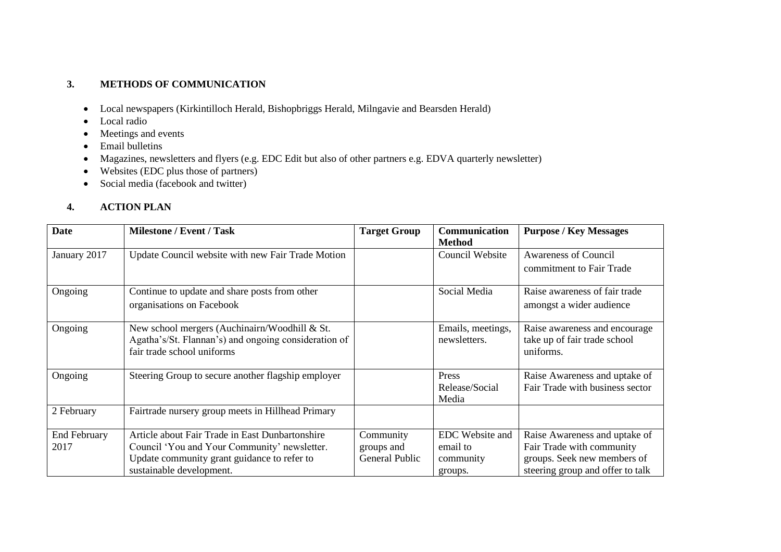#### **3. METHODS OF COMMUNICATION**

- Local newspapers (Kirkintilloch Herald, Bishopbriggs Herald, Milngavie and Bearsden Herald)
- Local radio
- Meetings and events
- Email bulletins
- Magazines, newsletters and flyers (e.g. EDC Edit but also of other partners e.g. EDVA quarterly newsletter)
- Websites (EDC plus those of partners)
- Social media (facebook and twitter)

# **4. ACTION PLAN**

| <b>Date</b>         | <b>Milestone / Event / Task</b>                      | <b>Target Group</b> | <b>Communication</b> | <b>Purpose / Key Messages</b>    |
|---------------------|------------------------------------------------------|---------------------|----------------------|----------------------------------|
|                     |                                                      |                     | <b>Method</b>        |                                  |
| January 2017        | Update Council website with new Fair Trade Motion    |                     | Council Website      | <b>Awareness of Council</b>      |
|                     |                                                      |                     |                      | commitment to Fair Trade         |
|                     |                                                      |                     |                      |                                  |
| Ongoing             | Continue to update and share posts from other        |                     | Social Media         | Raise awareness of fair trade    |
|                     | organisations on Facebook                            |                     |                      | amongst a wider audience         |
|                     |                                                      |                     |                      |                                  |
| Ongoing             | New school mergers (Auchinairn/Woodhill & St.        |                     | Emails, meetings,    | Raise awareness and encourage    |
|                     | Agatha's/St. Flannan's) and ongoing consideration of |                     | newsletters.         | take up of fair trade school     |
|                     | fair trade school uniforms                           |                     |                      | uniforms.                        |
|                     |                                                      |                     |                      |                                  |
| Ongoing             | Steering Group to secure another flagship employer   |                     | Press                | Raise Awareness and uptake of    |
|                     |                                                      |                     | Release/Social       | Fair Trade with business sector  |
|                     |                                                      |                     | Media                |                                  |
| 2 February          | Fairtrade nursery group meets in Hillhead Primary    |                     |                      |                                  |
|                     |                                                      |                     |                      |                                  |
| <b>End February</b> | Article about Fair Trade in East Dunbartonshire      | Community           | EDC Website and      | Raise Awareness and uptake of    |
| 2017                | Council 'You and Your Community' newsletter.         | groups and          | email to             | Fair Trade with community        |
|                     | Update community grant guidance to refer to          | General Public      | community            | groups. Seek new members of      |
|                     | sustainable development.                             |                     | groups.              | steering group and offer to talk |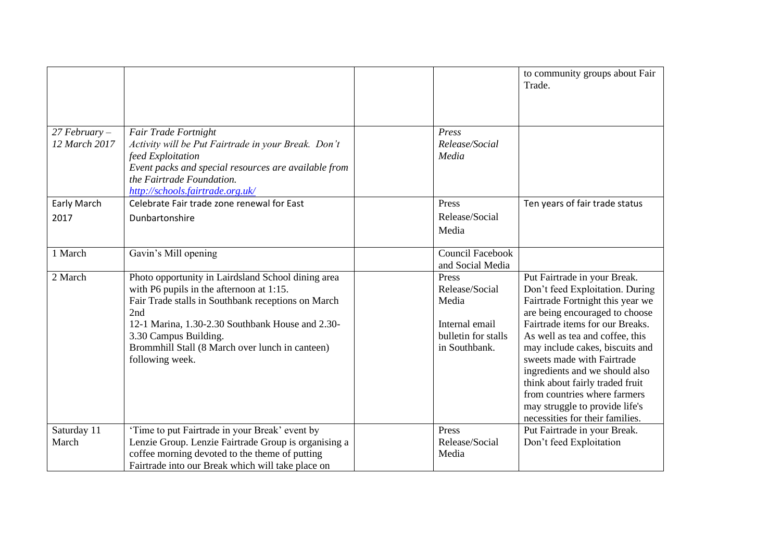|                                                                                                                                                                                                                                                                                                                |                                                   |                                                                                            | to community groups about Fair<br>Trade.                                                                                                                                                                                                                                                                                                                                                                                                               |
|----------------------------------------------------------------------------------------------------------------------------------------------------------------------------------------------------------------------------------------------------------------------------------------------------------------|---------------------------------------------------|--------------------------------------------------------------------------------------------|--------------------------------------------------------------------------------------------------------------------------------------------------------------------------------------------------------------------------------------------------------------------------------------------------------------------------------------------------------------------------------------------------------------------------------------------------------|
| Fair Trade Fortnight<br>Activity will be Put Fairtrade in your Break. Don't<br>feed Exploitation<br>Event packs and special resources are available from<br>the Fairtrade Foundation.<br>http://schools.fairtrade.org.uk/                                                                                      |                                                   | Press<br>Release/Social<br>Media                                                           |                                                                                                                                                                                                                                                                                                                                                                                                                                                        |
| Celebrate Fair trade zone renewal for East<br>Dunbartonshire                                                                                                                                                                                                                                                   |                                                   | Press<br>Release/Social<br>Media                                                           | Ten years of fair trade status                                                                                                                                                                                                                                                                                                                                                                                                                         |
| Gavin's Mill opening                                                                                                                                                                                                                                                                                           |                                                   | <b>Council Facebook</b><br>and Social Media                                                |                                                                                                                                                                                                                                                                                                                                                                                                                                                        |
| Photo opportunity in Lairdsland School dining area<br>with P6 pupils in the afternoon at 1:15.<br>Fair Trade stalls in Southbank receptions on March<br>2nd<br>12-1 Marina, 1.30-2.30 Southbank House and 2.30-<br>3.30 Campus Building.<br>Brommhill Stall (8 March over lunch in canteen)<br>following week. |                                                   | Press<br>Release/Social<br>Media<br>Internal email<br>bulletin for stalls<br>in Southbank. | Put Fairtrade in your Break.<br>Don't feed Exploitation. During<br>Fairtrade Fortnight this year we<br>are being encouraged to choose<br>Fairtrade items for our Breaks.<br>As well as tea and coffee, this<br>may include cakes, biscuits and<br>sweets made with Fairtrade<br>ingredients and we should also<br>think about fairly traded fruit<br>from countries where farmers<br>may struggle to provide life's<br>necessities for their families. |
| 'Time to put Fairtrade in your Break' event by<br>Lenzie Group. Lenzie Fairtrade Group is organising a<br>coffee morning devoted to the theme of putting                                                                                                                                                       |                                                   | Press<br>Release/Social<br>Media                                                           | Put Fairtrade in your Break.<br>Don't feed Exploitation                                                                                                                                                                                                                                                                                                                                                                                                |
|                                                                                                                                                                                                                                                                                                                | Fairtrade into our Break which will take place on |                                                                                            |                                                                                                                                                                                                                                                                                                                                                                                                                                                        |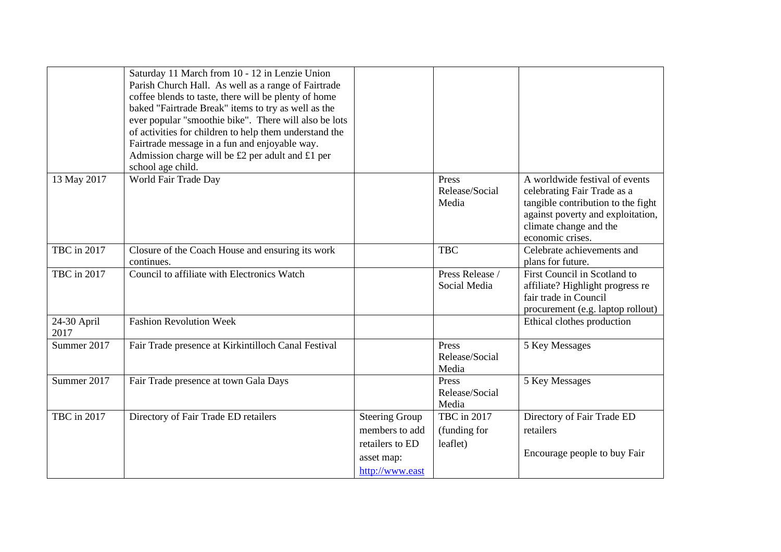|                     | Saturday 11 March from 10 - 12 in Lenzie Union<br>Parish Church Hall. As well as a range of Fairtrade<br>coffee blends to taste, there will be plenty of home<br>baked "Fairtrade Break" items to try as well as the<br>ever popular "smoothie bike". There will also be lots<br>of activities for children to help them understand the<br>Fairtrade message in a fun and enjoyable way.<br>Admission charge will be £2 per adult and £1 per<br>school age child. |                                                                                             |                                         |                                                                                                                                                                                        |
|---------------------|-------------------------------------------------------------------------------------------------------------------------------------------------------------------------------------------------------------------------------------------------------------------------------------------------------------------------------------------------------------------------------------------------------------------------------------------------------------------|---------------------------------------------------------------------------------------------|-----------------------------------------|----------------------------------------------------------------------------------------------------------------------------------------------------------------------------------------|
| 13 May 2017         | World Fair Trade Day                                                                                                                                                                                                                                                                                                                                                                                                                                              |                                                                                             | Press<br>Release/Social<br>Media        | A worldwide festival of events<br>celebrating Fair Trade as a<br>tangible contribution to the fight<br>against poverty and exploitation,<br>climate change and the<br>economic crises. |
| TBC in 2017         | Closure of the Coach House and ensuring its work<br>continues.                                                                                                                                                                                                                                                                                                                                                                                                    |                                                                                             | <b>TBC</b>                              | Celebrate achievements and<br>plans for future.                                                                                                                                        |
| TBC in 2017         | Council to affiliate with Electronics Watch                                                                                                                                                                                                                                                                                                                                                                                                                       |                                                                                             | Press Release /<br>Social Media         | First Council in Scotland to<br>affiliate? Highlight progress re<br>fair trade in Council<br>procurement (e.g. laptop rollout)                                                         |
| 24-30 April<br>2017 | <b>Fashion Revolution Week</b>                                                                                                                                                                                                                                                                                                                                                                                                                                    |                                                                                             |                                         | Ethical clothes production                                                                                                                                                             |
| Summer 2017         | Fair Trade presence at Kirkintilloch Canal Festival                                                                                                                                                                                                                                                                                                                                                                                                               |                                                                                             | Press<br>Release/Social<br>Media        | 5 Key Messages                                                                                                                                                                         |
| Summer 2017         | Fair Trade presence at town Gala Days                                                                                                                                                                                                                                                                                                                                                                                                                             |                                                                                             | Press<br>Release/Social<br>Media        | 5 Key Messages                                                                                                                                                                         |
| TBC in 2017         | Directory of Fair Trade ED retailers                                                                                                                                                                                                                                                                                                                                                                                                                              | <b>Steering Group</b><br>members to add<br>retailers to ED<br>asset map:<br>http://www.east | TBC in 2017<br>(funding for<br>leaflet) | Directory of Fair Trade ED<br>retailers<br>Encourage people to buy Fair                                                                                                                |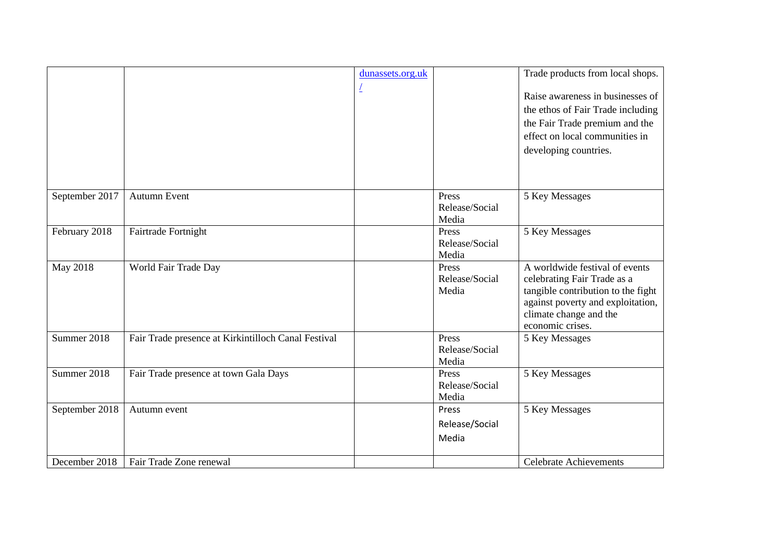|                 |                                                     | dunassets.org.uk |                         | Trade products from local shops.           |
|-----------------|-----------------------------------------------------|------------------|-------------------------|--------------------------------------------|
|                 |                                                     |                  |                         | Raise awareness in businesses of           |
|                 |                                                     |                  |                         | the ethos of Fair Trade including          |
|                 |                                                     |                  |                         | the Fair Trade premium and the             |
|                 |                                                     |                  |                         | effect on local communities in             |
|                 |                                                     |                  |                         | developing countries.                      |
|                 |                                                     |                  |                         |                                            |
|                 |                                                     |                  |                         |                                            |
| September 2017  | <b>Autumn Event</b>                                 |                  | Press                   | 5 Key Messages                             |
|                 |                                                     |                  | Release/Social          |                                            |
|                 |                                                     |                  | Media                   |                                            |
| February 2018   | Fairtrade Fortnight                                 |                  | Press<br>Release/Social | 5 Key Messages                             |
|                 |                                                     |                  | Media                   |                                            |
| <b>May 2018</b> | World Fair Trade Day                                |                  | Press                   | A worldwide festival of events             |
|                 |                                                     |                  | Release/Social          | celebrating Fair Trade as a                |
|                 |                                                     |                  | Media                   | tangible contribution to the fight         |
|                 |                                                     |                  |                         | against poverty and exploitation,          |
|                 |                                                     |                  |                         | climate change and the<br>economic crises. |
| Summer 2018     | Fair Trade presence at Kirkintilloch Canal Festival |                  | Press                   | 5 Key Messages                             |
|                 |                                                     |                  | Release/Social          |                                            |
|                 |                                                     |                  | Media                   |                                            |
| Summer 2018     | Fair Trade presence at town Gala Days               |                  | Press                   | 5 Key Messages                             |
|                 |                                                     |                  | Release/Social          |                                            |
|                 |                                                     |                  | Media                   |                                            |
| September 2018  | Autumn event                                        |                  | Press                   | 5 Key Messages                             |
|                 |                                                     |                  | Release/Social          |                                            |
|                 |                                                     |                  | Media                   |                                            |
| December 2018   | Fair Trade Zone renewal                             |                  |                         | <b>Celebrate Achievements</b>              |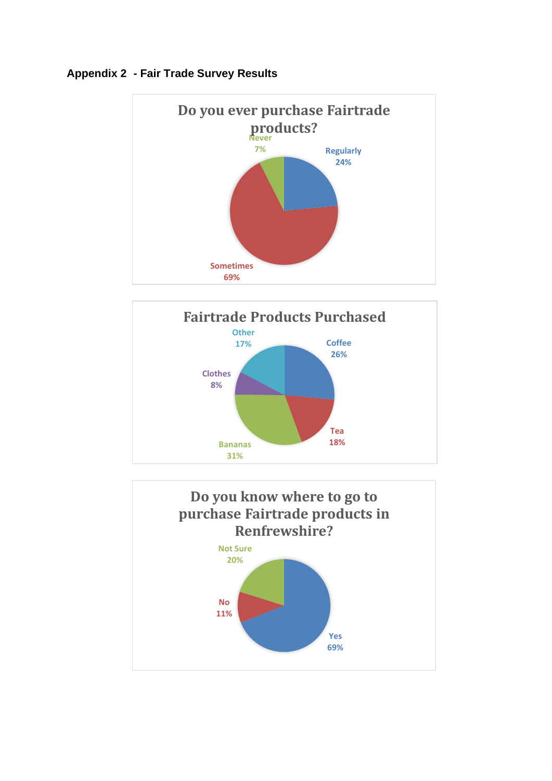

# **Appendix 2 - Fair Trade Survey Results**



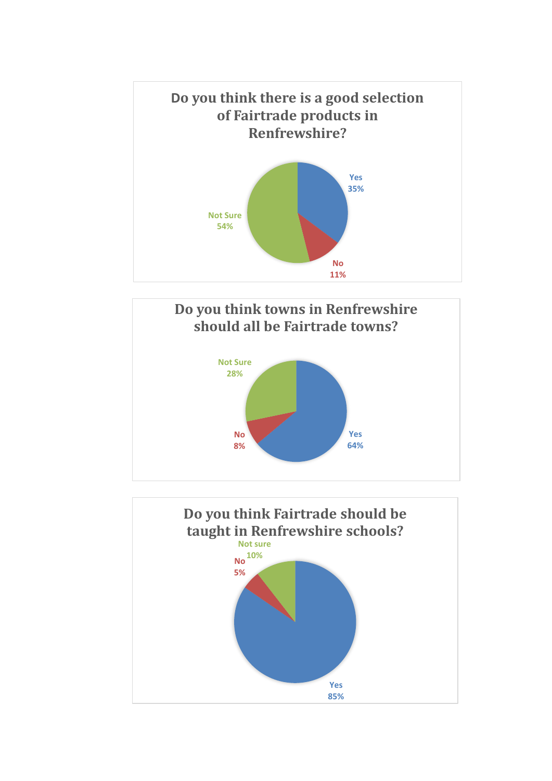